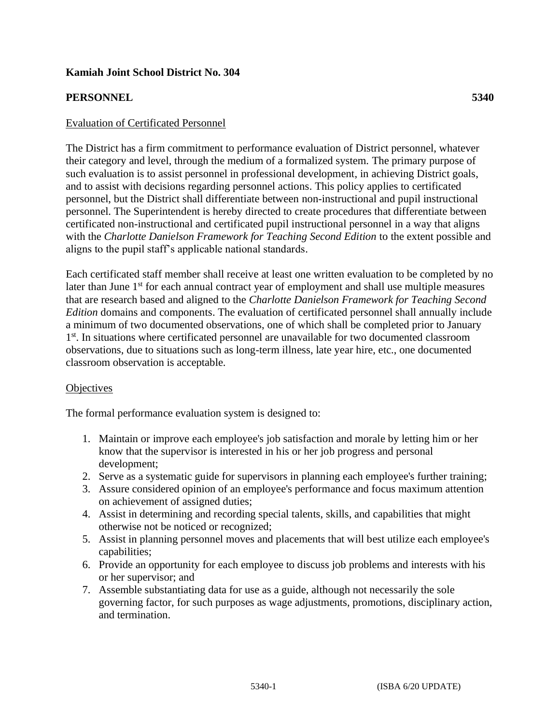### **Kamiah Joint School District No. 304**

### **PERSONNEL 5340**

### Evaluation of Certificated Personnel

The District has a firm commitment to performance evaluation of District personnel, whatever their category and level, through the medium of a formalized system. The primary purpose of such evaluation is to assist personnel in professional development, in achieving District goals, and to assist with decisions regarding personnel actions. This policy applies to certificated personnel, but the District shall differentiate between non-instructional and pupil instructional personnel. The Superintendent is hereby directed to create procedures that differentiate between certificated non-instructional and certificated pupil instructional personnel in a way that aligns with the *Charlotte Danielson Framework for Teaching Second Edition* to the extent possible and aligns to the pupil staff's applicable national standards.

Each certificated staff member shall receive at least one written evaluation to be completed by no later than June 1<sup>st</sup> for each annual contract year of employment and shall use multiple measures that are research based and aligned to the *Charlotte Danielson Framework for Teaching Second Edition* domains and components. The evaluation of certificated personnel shall annually include a minimum of two documented observations, one of which shall be completed prior to January 1<sup>st</sup>. In situations where certificated personnel are unavailable for two documented classroom observations, due to situations such as long-term illness, late year hire, etc., one documented classroom observation is acceptable.

#### **Objectives**

The formal performance evaluation system is designed to:

- 1. Maintain or improve each employee's job satisfaction and morale by letting him or her know that the supervisor is interested in his or her job progress and personal development;
- 2. Serve as a systematic guide for supervisors in planning each employee's further training;
- 3. Assure considered opinion of an employee's performance and focus maximum attention on achievement of assigned duties;
- 4. Assist in determining and recording special talents, skills, and capabilities that might otherwise not be noticed or recognized;
- 5. Assist in planning personnel moves and placements that will best utilize each employee's capabilities;
- 6. Provide an opportunity for each employee to discuss job problems and interests with his or her supervisor; and
- 7. Assemble substantiating data for use as a guide, although not necessarily the sole governing factor, for such purposes as wage adjustments, promotions, disciplinary action, and termination.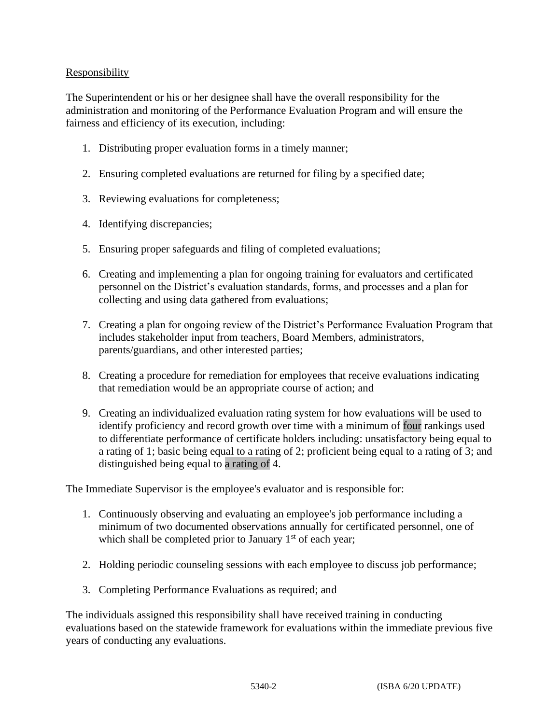# **Responsibility**

The Superintendent or his or her designee shall have the overall responsibility for the administration and monitoring of the Performance Evaluation Program and will ensure the fairness and efficiency of its execution, including:

- 1. Distributing proper evaluation forms in a timely manner;
- 2. Ensuring completed evaluations are returned for filing by a specified date;
- 3. Reviewing evaluations for completeness;
- 4. Identifying discrepancies;
- 5. Ensuring proper safeguards and filing of completed evaluations;
- 6. Creating and implementing a plan for ongoing training for evaluators and certificated personnel on the District's evaluation standards, forms, and processes and a plan for collecting and using data gathered from evaluations;
- 7. Creating a plan for ongoing review of the District's Performance Evaluation Program that includes stakeholder input from teachers, Board Members, administrators, parents/guardians, and other interested parties;
- 8. Creating a procedure for remediation for employees that receive evaluations indicating that remediation would be an appropriate course of action; and
- 9. Creating an individualized evaluation rating system for how evaluations will be used to identify proficiency and record growth over time with a minimum of four rankings used to differentiate performance of certificate holders including: unsatisfactory being equal to a rating of 1; basic being equal to a rating of 2; proficient being equal to a rating of 3; and distinguished being equal to a rating of 4.

The Immediate Supervisor is the employee's evaluator and is responsible for:

- 1. Continuously observing and evaluating an employee's job performance including a minimum of two documented observations annually for certificated personnel, one of which shall be completed prior to January  $1<sup>st</sup>$  of each year;
- 2. Holding periodic counseling sessions with each employee to discuss job performance;
- 3. Completing Performance Evaluations as required; and

The individuals assigned this responsibility shall have received training in conducting evaluations based on the statewide framework for evaluations within the immediate previous five years of conducting any evaluations.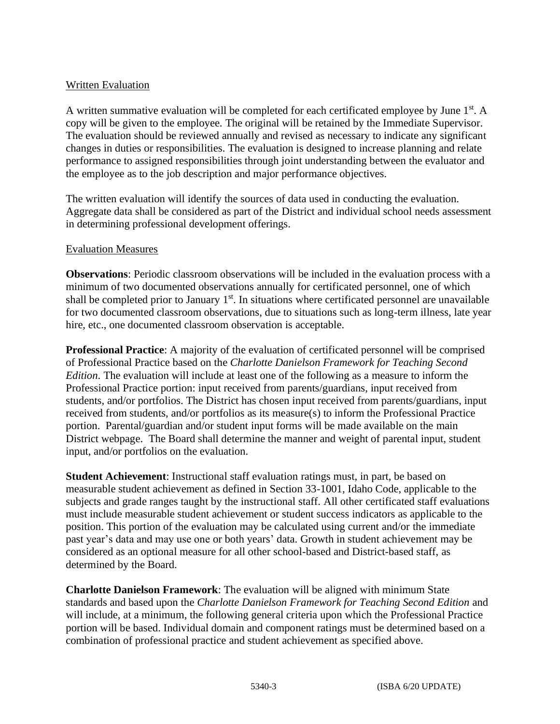# Written Evaluation

A written summative evaluation will be completed for each certificated employee by June 1<sup>st</sup>. A copy will be given to the employee. The original will be retained by the Immediate Supervisor. The evaluation should be reviewed annually and revised as necessary to indicate any significant changes in duties or responsibilities. The evaluation is designed to increase planning and relate performance to assigned responsibilities through joint understanding between the evaluator and the employee as to the job description and major performance objectives.

The written evaluation will identify the sources of data used in conducting the evaluation. Aggregate data shall be considered as part of the District and individual school needs assessment in determining professional development offerings.

#### Evaluation Measures

**Observations**: Periodic classroom observations will be included in the evaluation process with a minimum of two documented observations annually for certificated personnel, one of which shall be completed prior to January 1<sup>st</sup>. In situations where certificated personnel are unavailable for two documented classroom observations, due to situations such as long-term illness, late year hire, etc., one documented classroom observation is acceptable.

**Professional Practice**: A majority of the evaluation of certificated personnel will be comprised of Professional Practice based on the *Charlotte Danielson Framework for Teaching Second Edition*. The evaluation will include at least one of the following as a measure to inform the Professional Practice portion: input received from parents/guardians, input received from students, and/or portfolios. The District has chosen input received from parents/guardians, input received from students, and/or portfolios as its measure(s) to inform the Professional Practice portion. Parental/guardian and/or student input forms will be made available on the main District webpage.The Board shall determine the manner and weight of parental input, student input, and/or portfolios on the evaluation.

**Student Achievement**: Instructional staff evaluation ratings must, in part, be based on measurable student achievement as defined in Section 33-1001, Idaho Code, applicable to the subjects and grade ranges taught by the instructional staff. All other certificated staff evaluations must include measurable student achievement or student success indicators as applicable to the position. This portion of the evaluation may be calculated using current and/or the immediate past year's data and may use one or both years' data. Growth in student achievement may be considered as an optional measure for all other school-based and District-based staff, as determined by the Board.

**Charlotte Danielson Framework**: The evaluation will be aligned with minimum State standards and based upon the *Charlotte Danielson Framework for Teaching Second Edition* and will include, at a minimum, the following general criteria upon which the Professional Practice portion will be based. Individual domain and component ratings must be determined based on a combination of professional practice and student achievement as specified above.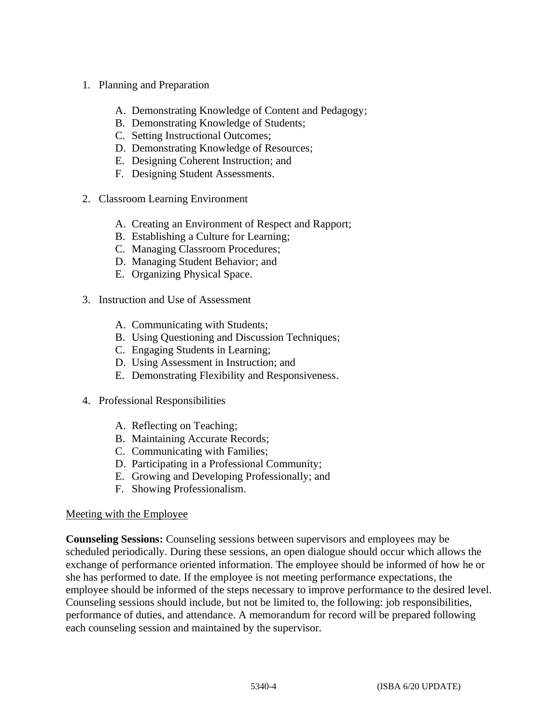- 1. Planning and Preparation
	- A. Demonstrating Knowledge of Content and Pedagogy;
	- B. Demonstrating Knowledge of Students;
	- C. Setting Instructional Outcomes;
	- D. Demonstrating Knowledge of Resources;
	- E. Designing Coherent Instruction; and
	- F. Designing Student Assessments.
- 2. Classroom Learning Environment
	- A. Creating an Environment of Respect and Rapport;
	- B. Establishing a Culture for Learning;
	- C. Managing Classroom Procedures;
	- D. Managing Student Behavior; and
	- E. Organizing Physical Space.
- 3. Instruction and Use of Assessment
	- A. Communicating with Students;
	- B. Using Questioning and Discussion Techniques;
	- C. Engaging Students in Learning;
	- D. Using Assessment in Instruction; and
	- E. Demonstrating Flexibility and Responsiveness.
- 4. Professional Responsibilities
	- A. Reflecting on Teaching;
	- B. Maintaining Accurate Records;
	- C. Communicating with Families;
	- D. Participating in a Professional Community;
	- E. Growing and Developing Professionally; and
	- F. Showing Professionalism.

#### Meeting with the Employee

**Counseling Sessions:** Counseling sessions between supervisors and employees may be scheduled periodically. During these sessions, an open dialogue should occur which allows the exchange of performance oriented information. The employee should be informed of how he or she has performed to date. If the employee is not meeting performance expectations, the employee should be informed of the steps necessary to improve performance to the desired level. Counseling sessions should include, but not be limited to, the following: job responsibilities, performance of duties, and attendance. A memorandum for record will be prepared following each counseling session and maintained by the supervisor.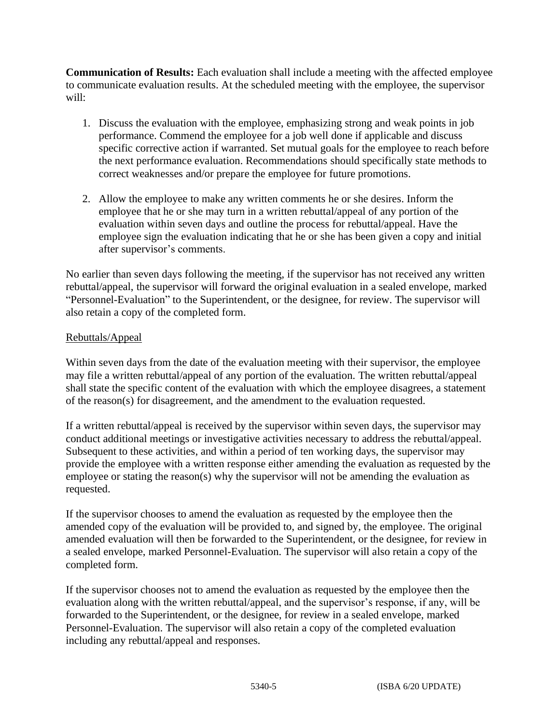**Communication of Results:** Each evaluation shall include a meeting with the affected employee to communicate evaluation results. At the scheduled meeting with the employee, the supervisor will:

- 1. Discuss the evaluation with the employee, emphasizing strong and weak points in job performance. Commend the employee for a job well done if applicable and discuss specific corrective action if warranted. Set mutual goals for the employee to reach before the next performance evaluation. Recommendations should specifically state methods to correct weaknesses and/or prepare the employee for future promotions.
- 2. Allow the employee to make any written comments he or she desires. Inform the employee that he or she may turn in a written rebuttal/appeal of any portion of the evaluation within seven days and outline the process for rebuttal/appeal. Have the employee sign the evaluation indicating that he or she has been given a copy and initial after supervisor's comments.

No earlier than seven days following the meeting, if the supervisor has not received any written rebuttal/appeal, the supervisor will forward the original evaluation in a sealed envelope, marked "Personnel-Evaluation" to the Superintendent, or the designee, for review. The supervisor will also retain a copy of the completed form.

# Rebuttals/Appeal

Within seven days from the date of the evaluation meeting with their supervisor, the employee may file a written rebuttal/appeal of any portion of the evaluation. The written rebuttal/appeal shall state the specific content of the evaluation with which the employee disagrees, a statement of the reason(s) for disagreement, and the amendment to the evaluation requested.

If a written rebuttal/appeal is received by the supervisor within seven days, the supervisor may conduct additional meetings or investigative activities necessary to address the rebuttal/appeal. Subsequent to these activities, and within a period of ten working days, the supervisor may provide the employee with a written response either amending the evaluation as requested by the employee or stating the reason(s) why the supervisor will not be amending the evaluation as requested.

If the supervisor chooses to amend the evaluation as requested by the employee then the amended copy of the evaluation will be provided to, and signed by, the employee. The original amended evaluation will then be forwarded to the Superintendent, or the designee, for review in a sealed envelope, marked Personnel-Evaluation. The supervisor will also retain a copy of the completed form.

If the supervisor chooses not to amend the evaluation as requested by the employee then the evaluation along with the written rebuttal/appeal, and the supervisor's response, if any, will be forwarded to the Superintendent, or the designee, for review in a sealed envelope, marked Personnel-Evaluation. The supervisor will also retain a copy of the completed evaluation including any rebuttal/appeal and responses.